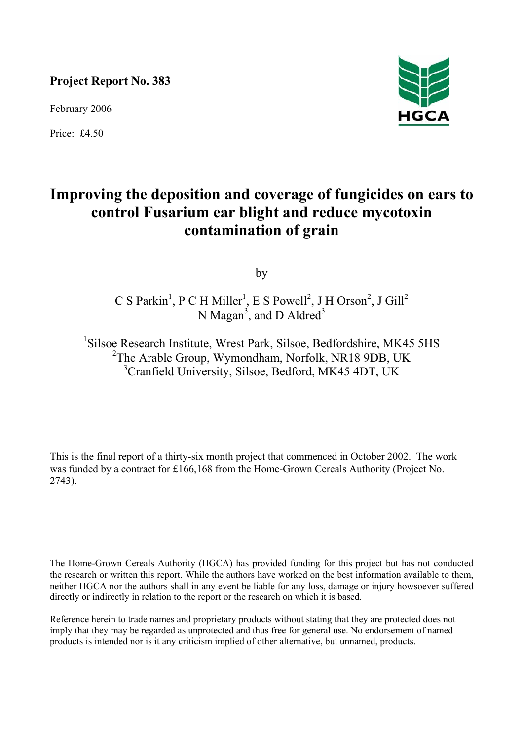**Project Report No. 383** 

February 2006

Price: £4.50



# **Improving the deposition and coverage of fungicides on ears to control Fusarium ear blight and reduce mycotoxin contamination of grain**

by

C S Parkin<sup>1</sup>, P C H Miller<sup>1</sup>, E S Powell<sup>2</sup>, J H Orson<sup>2</sup>, J Gill<sup>2</sup> N Magan<sup>3</sup>, and D Aldred<sup>3</sup>

<sup>1</sup>Silsoe Research Institute, Wrest Park, Silsoe, Bedfordshire, MK45 5HS <sup>2</sup>The Arable Group, Wymondham, Norfolk, NR18 9DB, UK 3 Cranfield University, Silsoe, Bedford, MK45 4DT, UK

This is the final report of a thirty-six month project that commenced in October 2002. The work was funded by a contract for £166,168 from the Home-Grown Cereals Authority (Project No. 2743).

The Home-Grown Cereals Authority (HGCA) has provided funding for this project but has not conducted the research or written this report. While the authors have worked on the best information available to them, neither HGCA nor the authors shall in any event be liable for any loss, damage or injury howsoever suffered directly or indirectly in relation to the report or the research on which it is based.

Reference herein to trade names and proprietary products without stating that they are protected does not imply that they may be regarded as unprotected and thus free for general use. No endorsement of named products is intended nor is it any criticism implied of other alternative, but unnamed, products.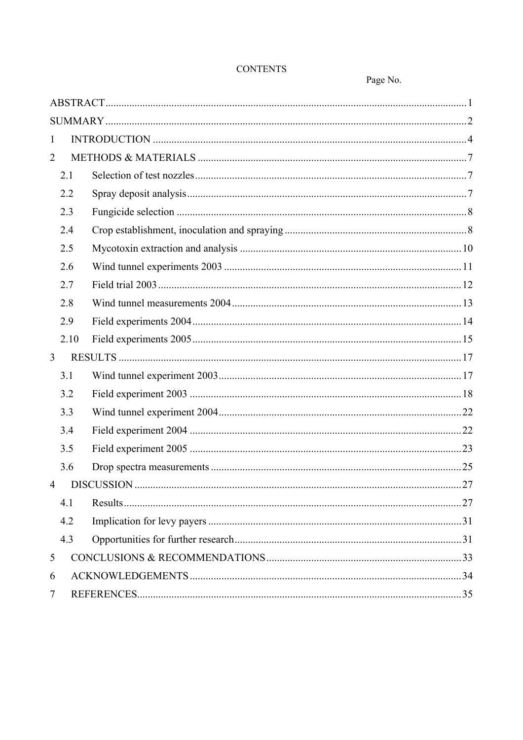| 1              |      |  |  |  |  |  |  |
|----------------|------|--|--|--|--|--|--|
| $\overline{2}$ |      |  |  |  |  |  |  |
|                | 2.1  |  |  |  |  |  |  |
|                | 2.2  |  |  |  |  |  |  |
|                | 2.3  |  |  |  |  |  |  |
|                | 2.4  |  |  |  |  |  |  |
|                | 2.5  |  |  |  |  |  |  |
|                | 2.6  |  |  |  |  |  |  |
|                | 2.7  |  |  |  |  |  |  |
|                | 2.8  |  |  |  |  |  |  |
|                | 2.9  |  |  |  |  |  |  |
|                | 2.10 |  |  |  |  |  |  |
| $\overline{3}$ |      |  |  |  |  |  |  |
|                | 3.1  |  |  |  |  |  |  |
|                | 3.2  |  |  |  |  |  |  |
|                | 3.3  |  |  |  |  |  |  |
|                | 3.4  |  |  |  |  |  |  |
|                | 3.5  |  |  |  |  |  |  |
|                | 3.6  |  |  |  |  |  |  |
|                |      |  |  |  |  |  |  |
|                | 4.1  |  |  |  |  |  |  |
|                | 4.2  |  |  |  |  |  |  |
|                | 4.3  |  |  |  |  |  |  |
| 5              |      |  |  |  |  |  |  |
| 6              |      |  |  |  |  |  |  |
| 7              |      |  |  |  |  |  |  |

# **CONTENTS**

Page No.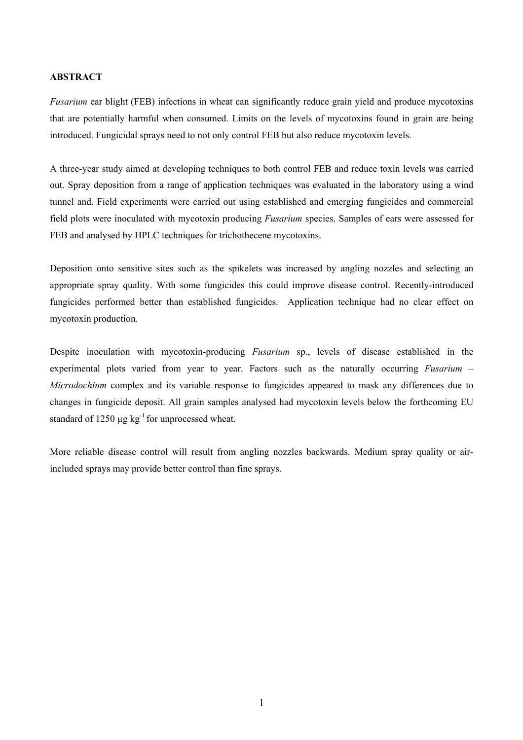# **ABSTRACT**

*Fusarium* ear blight (FEB) infections in wheat can significantly reduce grain yield and produce mycotoxins that are potentially harmful when consumed. Limits on the levels of mycotoxins found in grain are being introduced. Fungicidal sprays need to not only control FEB but also reduce mycotoxin levels.

A three-year study aimed at developing techniques to both control FEB and reduce toxin levels was carried out. Spray deposition from a range of application techniques was evaluated in the laboratory using a wind tunnel and. Field experiments were carried out using established and emerging fungicides and commercial field plots were inoculated with mycotoxin producing *Fusarium* species. Samples of ears were assessed for FEB and analysed by HPLC techniques for trichothecene mycotoxins.

Deposition onto sensitive sites such as the spikelets was increased by angling nozzles and selecting an appropriate spray quality. With some fungicides this could improve disease control. Recently-introduced fungicides performed better than established fungicides. Application technique had no clear effect on mycotoxin production.

Despite inoculation with mycotoxin-producing *Fusarium* sp., levels of disease established in the experimental plots varied from year to year. Factors such as the naturally occurring *Fusarium* – *Microdochium* complex and its variable response to fungicides appeared to mask any differences due to changes in fungicide deposit. All grain samples analysed had mycotoxin levels below the forthcoming EU standard of 1250  $\mu$ g kg<sup>-1</sup> for unprocessed wheat.

More reliable disease control will result from angling nozzles backwards. Medium spray quality or airincluded sprays may provide better control than fine sprays.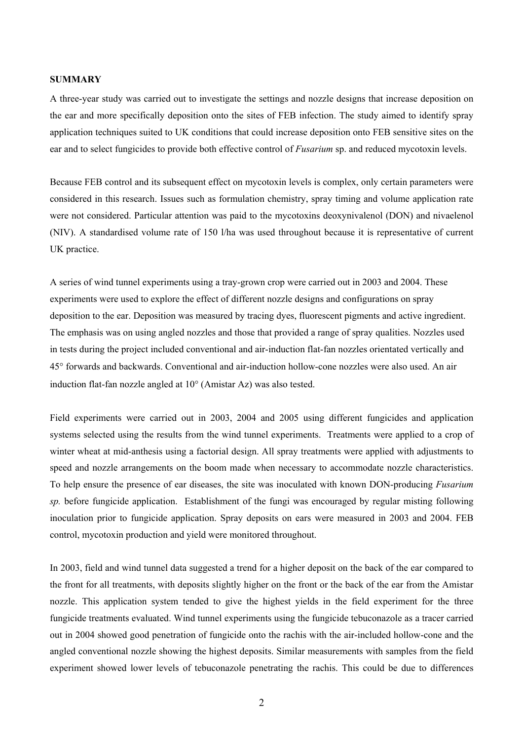#### **SUMMARY**

A three-year study was carried out to investigate the settings and nozzle designs that increase deposition on the ear and more specifically deposition onto the sites of FEB infection. The study aimed to identify spray application techniques suited to UK conditions that could increase deposition onto FEB sensitive sites on the ear and to select fungicides to provide both effective control of *Fusarium* sp. and reduced mycotoxin levels.

Because FEB control and its subsequent effect on mycotoxin levels is complex, only certain parameters were considered in this research. Issues such as formulation chemistry, spray timing and volume application rate were not considered. Particular attention was paid to the mycotoxins deoxynivalenol (DON) and nivaelenol (NIV). A standardised volume rate of 150 l/ha was used throughout because it is representative of current UK practice.

A series of wind tunnel experiments using a tray-grown crop were carried out in 2003 and 2004. These experiments were used to explore the effect of different nozzle designs and configurations on spray deposition to the ear. Deposition was measured by tracing dyes, fluorescent pigments and active ingredient. The emphasis was on using angled nozzles and those that provided a range of spray qualities. Nozzles used in tests during the project included conventional and air-induction flat-fan nozzles orientated vertically and 45° forwards and backwards. Conventional and air-induction hollow-cone nozzles were also used. An air induction flat-fan nozzle angled at 10° (Amistar Az) was also tested.

Field experiments were carried out in 2003, 2004 and 2005 using different fungicides and application systems selected using the results from the wind tunnel experiments. Treatments were applied to a crop of winter wheat at mid-anthesis using a factorial design. All spray treatments were applied with adjustments to speed and nozzle arrangements on the boom made when necessary to accommodate nozzle characteristics. To help ensure the presence of ear diseases, the site was inoculated with known DON-producing *Fusarium sp.* before fungicide application. Establishment of the fungi was encouraged by regular misting following inoculation prior to fungicide application. Spray deposits on ears were measured in 2003 and 2004. FEB control, mycotoxin production and yield were monitored throughout.

In 2003, field and wind tunnel data suggested a trend for a higher deposit on the back of the ear compared to the front for all treatments, with deposits slightly higher on the front or the back of the ear from the Amistar nozzle. This application system tended to give the highest yields in the field experiment for the three fungicide treatments evaluated. Wind tunnel experiments using the fungicide tebuconazole as a tracer carried out in 2004 showed good penetration of fungicide onto the rachis with the air-included hollow-cone and the angled conventional nozzle showing the highest deposits. Similar measurements with samples from the field experiment showed lower levels of tebuconazole penetrating the rachis. This could be due to differences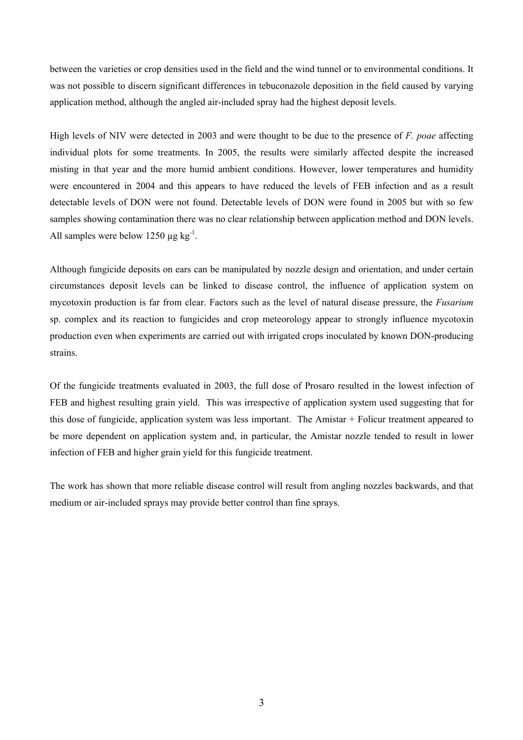between the varieties or crop densities used in the field and the wind tunnel or to environmental conditions. It was not possible to discern significant differences in tebuconazole deposition in the field caused by varying application method, although the angled air-included spray had the highest deposit levels.

High levels of NIV were detected in 2003 and were thought to be due to the presence of *F. poae* affecting individual plots for some treatments. In 2005, the results were similarly affected despite the increased misting in that year and the more humid ambient conditions. However, lower temperatures and humidity were encountered in 2004 and this appears to have reduced the levels of FEB infection and as a result detectable levels of DON were not found. Detectable levels of DON were found in 2005 but with so few samples showing contamination there was no clear relationship between application method and DON levels. All samples were below 1250  $\mu$ g kg<sup>-1</sup>.

Although fungicide deposits on ears can be manipulated by nozzle design and orientation, and under certain circumstances deposit levels can be linked to disease control, the influence of application system on mycotoxin production is far from clear. Factors such as the level of natural disease pressure, the *Fusarium* sp. complex and its reaction to fungicides and crop meteorology appear to strongly influence mycotoxin production even when experiments are carried out with irrigated crops inoculated by known DON-producing strains.

Of the fungicide treatments evaluated in 2003, the full dose of Prosaro resulted in the lowest infection of FEB and highest resulting grain yield. This was irrespective of application system used suggesting that for this dose of fungicide, application system was less important. The Amistar + Folicur treatment appeared to be more dependent on application system and, in particular, the Amistar nozzle tended to result in lower infection of FEB and higher grain yield for this fungicide treatment.

The work has shown that more reliable disease control will result from angling nozzles backwards, and that medium or air-included sprays may provide better control than fine sprays.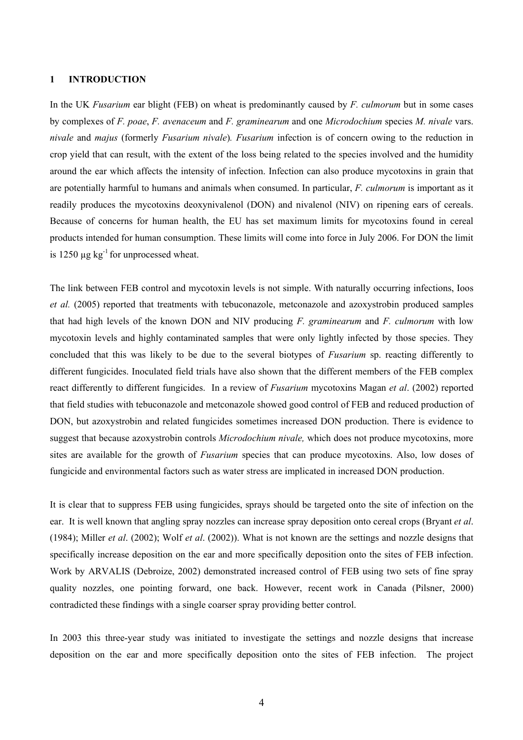### **1 INTRODUCTION**

In the UK *Fusarium* ear blight (FEB) on wheat is predominantly caused by *F. culmorum* but in some cases by complexes of *F. poae*, *F. avenaceum* and *F. graminearum* and one *Microdochium* species *M. nivale* vars. *nivale* and *majus* (formerly *Fusarium nivale*)*. Fusarium* infection is of concern owing to the reduction in crop yield that can result, with the extent of the loss being related to the species involved and the humidity around the ear which affects the intensity of infection. Infection can also produce mycotoxins in grain that are potentially harmful to humans and animals when consumed. In particular, *F. culmorum* is important as it readily produces the mycotoxins deoxynivalenol (DON) and nivalenol (NIV) on ripening ears of cereals. Because of concerns for human health, the EU has set maximum limits for mycotoxins found in cereal products intended for human consumption. These limits will come into force in July 2006. For DON the limit is 1250  $\mu$ g kg<sup>-1</sup> for unprocessed wheat.

The link between FEB control and mycotoxin levels is not simple. With naturally occurring infections, Ioos *et al.* (2005) reported that treatments with tebuconazole, metconazole and azoxystrobin produced samples that had high levels of the known DON and NIV producing *F. graminearum* and *F. culmorum* with low mycotoxin levels and highly contaminated samples that were only lightly infected by those species. They concluded that this was likely to be due to the several biotypes of *Fusarium* sp. reacting differently to different fungicides. Inoculated field trials have also shown that the different members of the FEB complex react differently to different fungicides. In a review of *Fusarium* mycotoxins Magan *et al*. (2002) reported that field studies with tebuconazole and metconazole showed good control of FEB and reduced production of DON, but azoxystrobin and related fungicides sometimes increased DON production. There is evidence to suggest that because azoxystrobin controls *Microdochium nivale,* which does not produce mycotoxins, more sites are available for the growth of *Fusarium* species that can produce mycotoxins. Also, low doses of fungicide and environmental factors such as water stress are implicated in increased DON production.

It is clear that to suppress FEB using fungicides, sprays should be targeted onto the site of infection on the ear. It is well known that angling spray nozzles can increase spray deposition onto cereal crops (Bryant *et al*. (1984); Miller *et al*. (2002); Wolf *et al*. (2002)). What is not known are the settings and nozzle designs that specifically increase deposition on the ear and more specifically deposition onto the sites of FEB infection. Work by ARVALIS (Debroize, 2002) demonstrated increased control of FEB using two sets of fine spray quality nozzles, one pointing forward, one back. However, recent work in Canada (Pilsner, 2000) contradicted these findings with a single coarser spray providing better control.

In 2003 this three-year study was initiated to investigate the settings and nozzle designs that increase deposition on the ear and more specifically deposition onto the sites of FEB infection. The project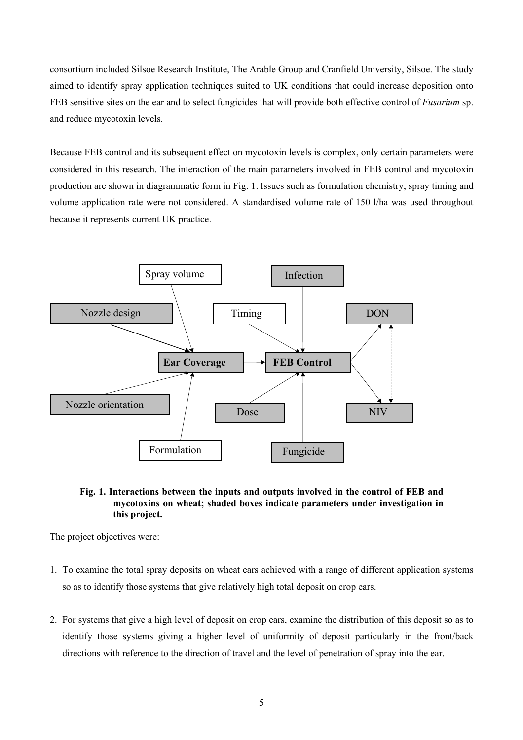consortium included Silsoe Research Institute, The Arable Group and Cranfield University, Silsoe. The study aimed to identify spray application techniques suited to UK conditions that could increase deposition onto FEB sensitive sites on the ear and to select fungicides that will provide both effective control of *Fusarium* sp. and reduce mycotoxin levels.

Because FEB control and its subsequent effect on mycotoxin levels is complex, only certain parameters were considered in this research. The interaction of the main parameters involved in FEB control and mycotoxin production are shown in diagrammatic form in Fig. 1. Issues such as formulation chemistry, spray timing and volume application rate were not considered. A standardised volume rate of 150 l/ha was used throughout because it represents current UK practice.



# **Fig. 1. Interactions between the inputs and outputs involved in the control of FEB and mycotoxins on wheat; shaded boxes indicate parameters under investigation in this project.**

The project objectives were:

- 1. To examine the total spray deposits on wheat ears achieved with a range of different application systems so as to identify those systems that give relatively high total deposit on crop ears.
- 2. For systems that give a high level of deposit on crop ears, examine the distribution of this deposit so as to identify those systems giving a higher level of uniformity of deposit particularly in the front/back directions with reference to the direction of travel and the level of penetration of spray into the ear.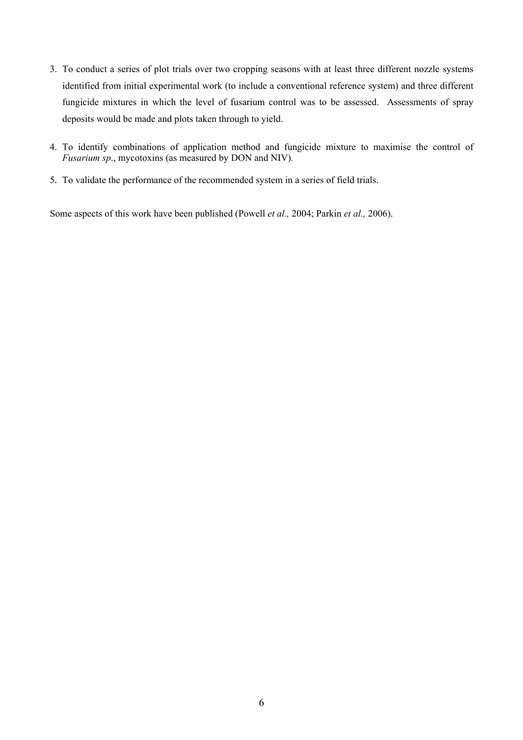- 3. To conduct a series of plot trials over two cropping seasons with at least three different nozzle systems identified from initial experimental work (to include a conventional reference system) and three different fungicide mixtures in which the level of fusarium control was to be assessed. Assessments of spray deposits would be made and plots taken through to yield.
- 4. To identify combinations of application method and fungicide mixture to maximise the control of *Fusarium sp*., mycotoxins (as measured by DON and NIV)*.*
- 5. To validate the performance of the recommended system in a series of field trials.

Some aspects of this work have been published (Powell *et al.,* 2004; Parkin *et al.,* 2006).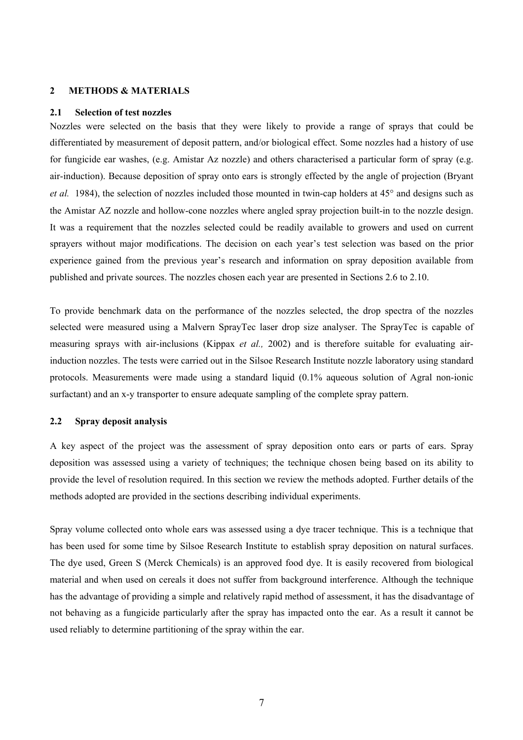### **2 METHODS & MATERIALS**

#### **2.1 Selection of test nozzles**

Nozzles were selected on the basis that they were likely to provide a range of sprays that could be differentiated by measurement of deposit pattern, and/or biological effect. Some nozzles had a history of use for fungicide ear washes, (e.g. Amistar Az nozzle) and others characterised a particular form of spray (e.g. air-induction). Because deposition of spray onto ears is strongly effected by the angle of projection (Bryant *et al.* 1984), the selection of nozzles included those mounted in twin-cap holders at 45° and designs such as the Amistar AZ nozzle and hollow-cone nozzles where angled spray projection built-in to the nozzle design. It was a requirement that the nozzles selected could be readily available to growers and used on current sprayers without major modifications. The decision on each year's test selection was based on the prior experience gained from the previous year's research and information on spray deposition available from published and private sources. The nozzles chosen each year are presented in Sections 2.6 to 2.10.

To provide benchmark data on the performance of the nozzles selected, the drop spectra of the nozzles selected were measured using a Malvern SprayTec laser drop size analyser. The SprayTec is capable of measuring sprays with air-inclusions (Kippax *et al.,* 2002) and is therefore suitable for evaluating airinduction nozzles. The tests were carried out in the Silsoe Research Institute nozzle laboratory using standard protocols. Measurements were made using a standard liquid (0.1% aqueous solution of Agral non-ionic surfactant) and an x-y transporter to ensure adequate sampling of the complete spray pattern.

#### **2.2 Spray deposit analysis**

A key aspect of the project was the assessment of spray deposition onto ears or parts of ears. Spray deposition was assessed using a variety of techniques; the technique chosen being based on its ability to provide the level of resolution required. In this section we review the methods adopted. Further details of the methods adopted are provided in the sections describing individual experiments.

Spray volume collected onto whole ears was assessed using a dye tracer technique. This is a technique that has been used for some time by Silsoe Research Institute to establish spray deposition on natural surfaces. The dye used, Green S (Merck Chemicals) is an approved food dye. It is easily recovered from biological material and when used on cereals it does not suffer from background interference. Although the technique has the advantage of providing a simple and relatively rapid method of assessment, it has the disadvantage of not behaving as a fungicide particularly after the spray has impacted onto the ear. As a result it cannot be used reliably to determine partitioning of the spray within the ear.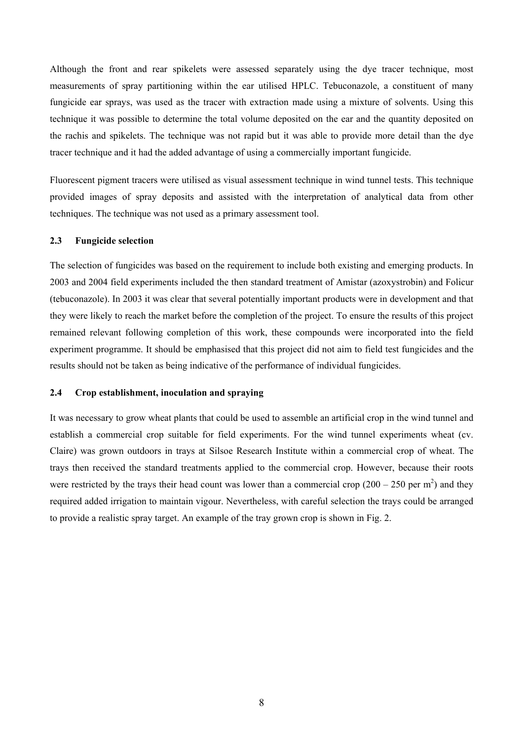Although the front and rear spikelets were assessed separately using the dye tracer technique, most measurements of spray partitioning within the ear utilised HPLC. Tebuconazole, a constituent of many fungicide ear sprays, was used as the tracer with extraction made using a mixture of solvents. Using this technique it was possible to determine the total volume deposited on the ear and the quantity deposited on the rachis and spikelets. The technique was not rapid but it was able to provide more detail than the dye tracer technique and it had the added advantage of using a commercially important fungicide.

Fluorescent pigment tracers were utilised as visual assessment technique in wind tunnel tests. This technique provided images of spray deposits and assisted with the interpretation of analytical data from other techniques. The technique was not used as a primary assessment tool.

### **2.3 Fungicide selection**

The selection of fungicides was based on the requirement to include both existing and emerging products. In 2003 and 2004 field experiments included the then standard treatment of Amistar (azoxystrobin) and Folicur (tebuconazole). In 2003 it was clear that several potentially important products were in development and that they were likely to reach the market before the completion of the project. To ensure the results of this project remained relevant following completion of this work, these compounds were incorporated into the field experiment programme. It should be emphasised that this project did not aim to field test fungicides and the results should not be taken as being indicative of the performance of individual fungicides.

## **2.4 Crop establishment, inoculation and spraying**

It was necessary to grow wheat plants that could be used to assemble an artificial crop in the wind tunnel and establish a commercial crop suitable for field experiments. For the wind tunnel experiments wheat (cv. Claire) was grown outdoors in trays at Silsoe Research Institute within a commercial crop of wheat. The trays then received the standard treatments applied to the commercial crop. However, because their roots were restricted by the trays their head count was lower than a commercial crop  $(200 - 250 \text{ per m}^2)$  and they required added irrigation to maintain vigour. Nevertheless, with careful selection the trays could be arranged to provide a realistic spray target. An example of the tray grown crop is shown in Fig. 2.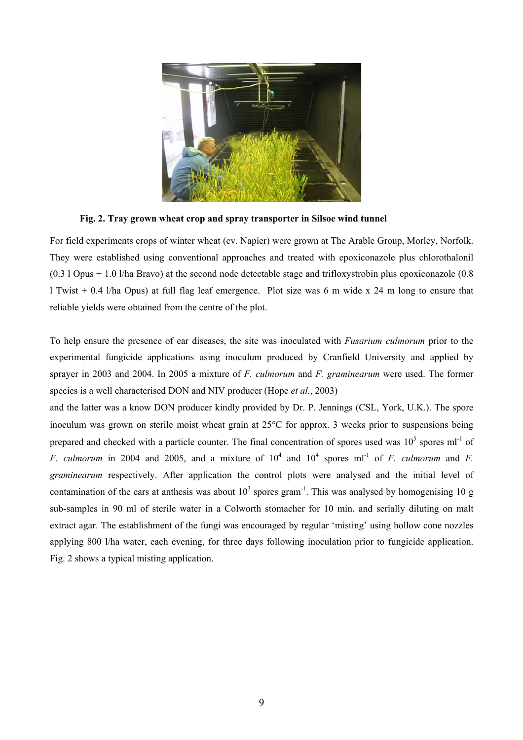

**Fig. 2. Tray grown wheat crop and spray transporter in Silsoe wind tunnel** 

For field experiments crops of winter wheat (cv. Napier) were grown at The Arable Group, Morley, Norfolk. They were established using conventional approaches and treated with epoxiconazole plus chlorothalonil (0.3 l Opus + 1.0 l/ha Bravo) at the second node detectable stage and trifloxystrobin plus epoxiconazole (0.8 l Twist + 0.4 l/ha Opus) at full flag leaf emergence. Plot size was 6 m wide x 24 m long to ensure that reliable yields were obtained from the centre of the plot.

To help ensure the presence of ear diseases, the site was inoculated with *Fusarium culmorum* prior to the experimental fungicide applications using inoculum produced by Cranfield University and applied by sprayer in 2003 and 2004. In 2005 a mixture of *F. culmorum* and *F. graminearum* were used. The former species is a well characterised DON and NIV producer (Hope *et al.*, 2003)

and the latter was a know DON producer kindly provided by Dr. P. Jennings (CSL, York, U.K.). The spore inoculum was grown on sterile moist wheat grain at 25°C for approx. 3 weeks prior to suspensions being prepared and checked with a particle counter. The final concentration of spores used was  $10^5$  spores ml<sup>-1</sup> of *F. culmorum* in 2004 and 2005, and a mixture of  $10^4$  and  $10^4$  spores ml<sup>-1</sup> of *F. culmorum* and *F. graminearum* respectively. After application the control plots were analysed and the initial level of contamination of the ears at anthesis was about  $10^3$  spores gram<sup>-1</sup>. This was analysed by homogenising 10 g sub-samples in 90 ml of sterile water in a Colworth stomacher for 10 min. and serially diluting on malt extract agar. The establishment of the fungi was encouraged by regular 'misting' using hollow cone nozzles applying 800 l/ha water, each evening, for three days following inoculation prior to fungicide application. Fig. 2 shows a typical misting application.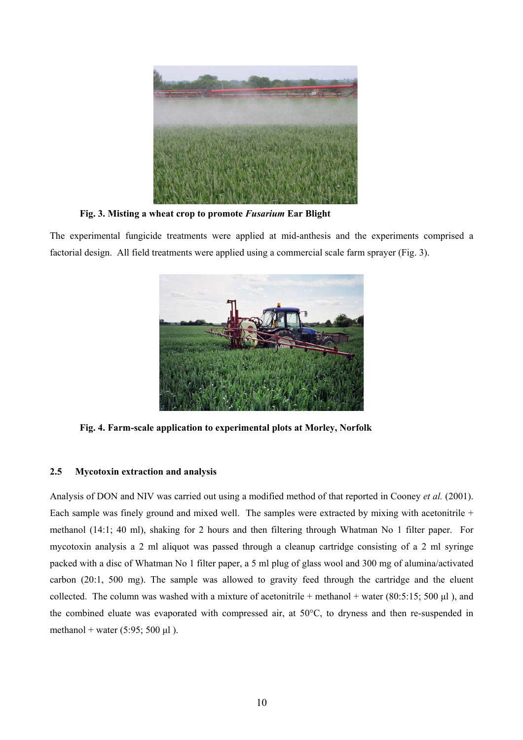

**Fig. 3. Misting a wheat crop to promote** *Fusarium* **Ear Blight** 

The experimental fungicide treatments were applied at mid-anthesis and the experiments comprised a factorial design. All field treatments were applied using a commercial scale farm sprayer (Fig. 3).



**Fig. 4. Farm-scale application to experimental plots at Morley, Norfolk** 

# **2.5 Mycotoxin extraction and analysis**

Analysis of DON and NIV was carried out using a modified method of that reported in Cooney *et al.* (2001). Each sample was finely ground and mixed well. The samples were extracted by mixing with acetonitrile + methanol (14:1; 40 ml), shaking for 2 hours and then filtering through Whatman No 1 filter paper. For mycotoxin analysis a 2 ml aliquot was passed through a cleanup cartridge consisting of a 2 ml syringe packed with a disc of Whatman No 1 filter paper, a 5 ml plug of glass wool and 300 mg of alumina/activated carbon (20:1, 500 mg). The sample was allowed to gravity feed through the cartridge and the eluent collected. The column was washed with a mixture of acetonitrile + methanol + water (80:5:15; 500  $\mu$ l), and the combined eluate was evaporated with compressed air, at 50°C, to dryness and then re-suspended in methanol + water  $(5:95; 500 \text{ µl})$ .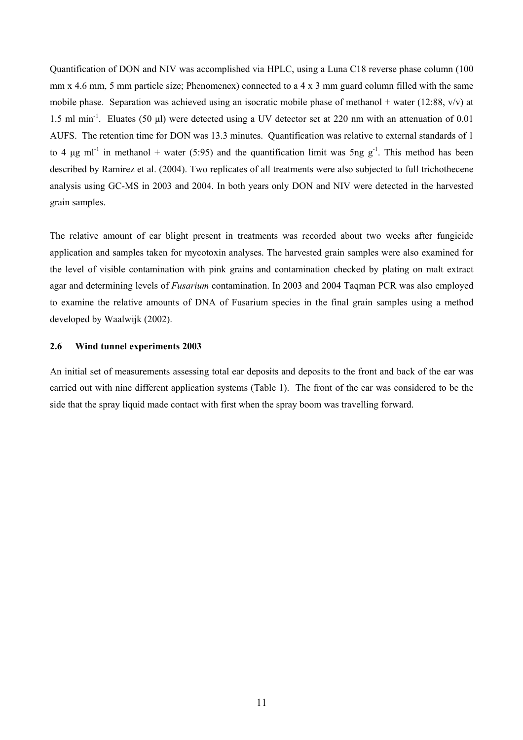Quantification of DON and NIV was accomplished via HPLC, using a Luna C18 reverse phase column (100 mm x 4.6 mm, 5 mm particle size; Phenomenex) connected to a 4 x 3 mm guard column filled with the same mobile phase. Separation was achieved using an isocratic mobile phase of methanol + water (12:88,  $v/v$ ) at 1.5 ml min-1. Eluates (50 µl) were detected using a UV detector set at 220 nm with an attenuation of 0.01 AUFS. The retention time for DON was 13.3 minutes. Quantification was relative to external standards of 1 to 4 ug ml<sup>-1</sup> in methanol + water (5:95) and the quantification limit was 5ng g<sup>-1</sup>. This method has been described by Ramirez et al. (2004). Two replicates of all treatments were also subjected to full trichothecene analysis using GC-MS in 2003 and 2004. In both years only DON and NIV were detected in the harvested grain samples.

The relative amount of ear blight present in treatments was recorded about two weeks after fungicide application and samples taken for mycotoxin analyses. The harvested grain samples were also examined for the level of visible contamination with pink grains and contamination checked by plating on malt extract agar and determining levels of *Fusarium* contamination. In 2003 and 2004 Taqman PCR was also employed to examine the relative amounts of DNA of Fusarium species in the final grain samples using a method developed by Waalwijk (2002).

#### **2.6 Wind tunnel experiments 2003**

An initial set of measurements assessing total ear deposits and deposits to the front and back of the ear was carried out with nine different application systems (Table 1). The front of the ear was considered to be the side that the spray liquid made contact with first when the spray boom was travelling forward.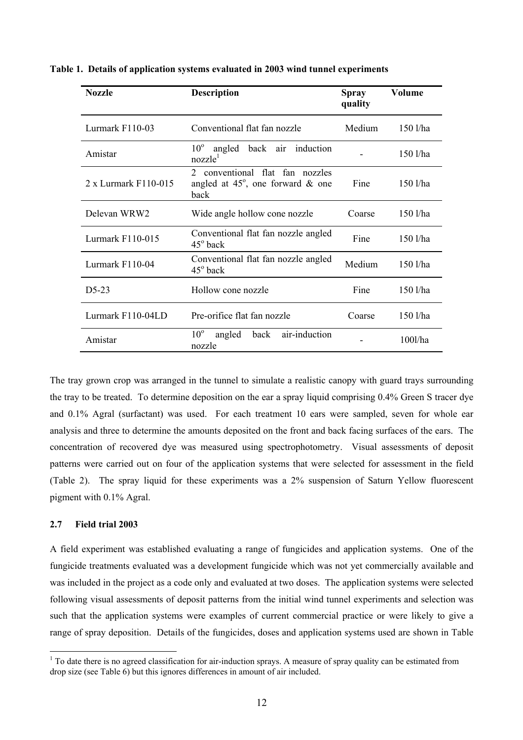| <b>Nozzle</b>        | <b>Description</b>                                                                  | <b>Spray</b><br>quality | Volume     |
|----------------------|-------------------------------------------------------------------------------------|-------------------------|------------|
| Lurmark F110-03      | Conventional flat fan nozzle                                                        | Medium                  | 150 l/ha   |
| Amistar              | $10^{\circ}$<br>angled back air induction<br>nozzle <sup>1</sup>                    |                         | 150 l/ha   |
| 2 x Lurmark F110-015 | 2 conventional flat fan nozzles<br>angled at $45^\circ$ , one forward & one<br>back | Fine                    | 150 l/ha   |
| Delevan WRW2         | Wide angle hollow cone nozzle                                                       | Coarse                  | $150$ l/ha |
| Lurmark F110-015     | Conventional flat fan nozzle angled<br>$45^\circ$ back                              | Fine                    | 150 l/ha   |
| Lurmark F110-04      | Conventional flat fan nozzle angled<br>$45^{\circ}$ back                            | Medium                  | 150 l/ha   |
| $D5-23$              | Hollow cone nozzle                                                                  | Fine                    | 150 l/ha   |
| Lurmark F110-04LD    | Pre-orifice flat fan nozzle                                                         | Coarse                  | 150 l/ha   |
| Amistar              | air-induction<br>$10^{\circ}$<br>angled<br>back<br>nozzle                           |                         | $100$ l/ha |

**Table 1. Details of application systems evaluated in 2003 wind tunnel experiments** 

The tray grown crop was arranged in the tunnel to simulate a realistic canopy with guard trays surrounding the tray to be treated. To determine deposition on the ear a spray liquid comprising 0.4% Green S tracer dye and 0.1% Agral (surfactant) was used. For each treatment 10 ears were sampled, seven for whole ear analysis and three to determine the amounts deposited on the front and back facing surfaces of the ears. The concentration of recovered dye was measured using spectrophotometry. Visual assessments of deposit patterns were carried out on four of the application systems that were selected for assessment in the field (Table 2). The spray liquid for these experiments was a 2% suspension of Saturn Yellow fluorescent pigment with 0.1% Agral.

# **2.7 Field trial 2003**

 $\overline{a}$ 

A field experiment was established evaluating a range of fungicides and application systems. One of the fungicide treatments evaluated was a development fungicide which was not yet commercially available and was included in the project as a code only and evaluated at two doses. The application systems were selected following visual assessments of deposit patterns from the initial wind tunnel experiments and selection was such that the application systems were examples of current commercial practice or were likely to give a range of spray deposition. Details of the fungicides, doses and application systems used are shown in Table

 $1$  To date there is no agreed classification for air-induction sprays. A measure of spray quality can be estimated from drop size (see Table 6) but this ignores differences in amount of air included.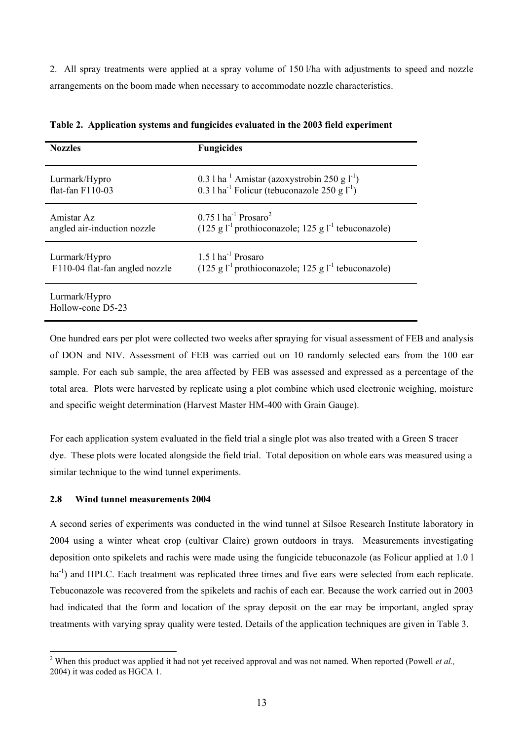2. All spray treatments were applied at a spray volume of 150 l/ha with adjustments to speed and nozzle arrangements on the boom made when necessary to accommodate nozzle characteristics.

| <b>Nozzles</b>                     | <b>Fungicides</b>                                                             |
|------------------------------------|-------------------------------------------------------------------------------|
| Lurmark/Hypro                      | 0.3 l ha $^1$ Amistar (azoxystrobin 250 g $1^{-1}$ )                          |
| flat-fan F110-03                   | 0.3 l ha <sup>-1</sup> Folicur (tebuconazole 250 g $1^{-1}$ )                 |
| Amistar Az                         | $0.75$ 1 ha <sup>-1</sup> Prosaro <sup>2</sup>                                |
| angled air-induction nozzle        | $(125 \text{ g} l^{-1})$ prothioconazole; 125 g l <sup>-1</sup> tebuconazole) |
| Lurmark/Hypro                      | $1.5$ l ha <sup>-1</sup> Prosaro                                              |
| F110-04 flat-fan angled nozzle     | $(125 \text{ g} l^{-1})$ prothioconazole; 125 g l <sup>-1</sup> tebuconazole) |
| Lurmark/Hypro<br>Hollow-cone D5-23 |                                                                               |

**Table 2. Application systems and fungicides evaluated in the 2003 field experiment** 

One hundred ears per plot were collected two weeks after spraying for visual assessment of FEB and analysis of DON and NIV. Assessment of FEB was carried out on 10 randomly selected ears from the 100 ear sample. For each sub sample, the area affected by FEB was assessed and expressed as a percentage of the total area. Plots were harvested by replicate using a plot combine which used electronic weighing, moisture and specific weight determination (Harvest Master HM-400 with Grain Gauge).

For each application system evaluated in the field trial a single plot was also treated with a Green S tracer dye. These plots were located alongside the field trial. Total deposition on whole ears was measured using a similar technique to the wind tunnel experiments.

# **2.8 Wind tunnel measurements 2004**

A second series of experiments was conducted in the wind tunnel at Silsoe Research Institute laboratory in 2004 using a winter wheat crop (cultivar Claire) grown outdoors in trays. Measurements investigating deposition onto spikelets and rachis were made using the fungicide tebuconazole (as Folicur applied at 1.0 l ha<sup>-1</sup>) and HPLC. Each treatment was replicated three times and five ears were selected from each replicate. Tebuconazole was recovered from the spikelets and rachis of each ear. Because the work carried out in 2003 had indicated that the form and location of the spray deposit on the ear may be important, angled spray treatments with varying spray quality were tested. Details of the application techniques are given in Table 3.

 $\overline{a}$ <sup>2</sup> When this product was applied it had not yet received approval and was not named. When reported (Powell *et al.*, 2004) it was coded as HGCA 1.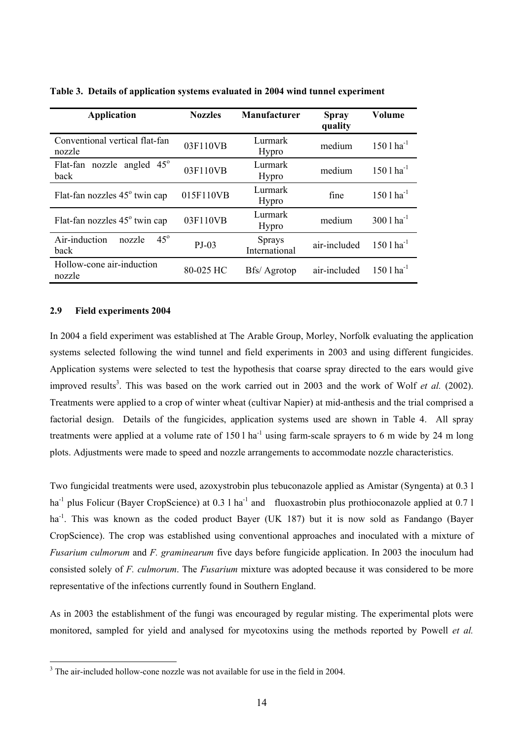| <b>Application</b>                            | <b>Nozzles</b> | Manufacturer                   | <b>Spray</b><br>quality | Volume                  |
|-----------------------------------------------|----------------|--------------------------------|-------------------------|-------------------------|
| Conventional vertical flat-fan<br>nozzle      | 03F110VB       | Lurmark<br>Hypro               | medium                  | $1501 \text{ ha}^{-1}$  |
| Flat-fan nozzle angled 45°<br>back            | 03F110VB       | Lurmark<br>Hypro               | medium                  | $1501 \text{ ha}^{-1}$  |
| Flat-fan nozzles $45^{\circ}$ twin cap        | 015F110VB      | Lurmark<br>Hypro               | fine                    | $1501$ ha <sup>-1</sup> |
| Flat-fan nozzles 45° twin cap                 | 03F110VB       | Lurmark<br>Hypro               | medium                  | $3001 \text{ ha}^{-1}$  |
| $45^\circ$<br>Air-induction<br>nozzle<br>back | $PJ-03$        | <b>Sprays</b><br>International | air-included            | $1501$ ha <sup>-1</sup> |
| Hollow-cone air-induction<br>nozzle           | 80-025 HC      | Bfs/ Agrotop                   | air-included            | $1501 \text{ ha}^{-1}$  |

**Table 3. Details of application systems evaluated in 2004 wind tunnel experiment**

#### **2.9 Field experiments 2004**

In 2004 a field experiment was established at The Arable Group, Morley, Norfolk evaluating the application systems selected following the wind tunnel and field experiments in 2003 and using different fungicides. Application systems were selected to test the hypothesis that coarse spray directed to the ears would give improved results<sup>3</sup>. This was based on the work carried out in 2003 and the work of Wolf *et al.* (2002). Treatments were applied to a crop of winter wheat (cultivar Napier) at mid-anthesis and the trial comprised a factorial design. Details of the fungicides, application systems used are shown in Table 4. All spray treatments were applied at a volume rate of  $150 \, \text{l}$  ha<sup>-1</sup> using farm-scale sprayers to 6 m wide by 24 m long plots. Adjustments were made to speed and nozzle arrangements to accommodate nozzle characteristics.

Two fungicidal treatments were used, azoxystrobin plus tebuconazole applied as Amistar (Syngenta) at 0.3 l ha<sup>-1</sup> plus Folicur (Bayer CropScience) at 0.3 l ha<sup>-1</sup> and fluoxastrobin plus prothioconazole applied at 0.7 l ha<sup>-1</sup>. This was known as the coded product Bayer (UK 187) but it is now sold as Fandango (Bayer CropScience). The crop was established using conventional approaches and inoculated with a mixture of *Fusarium culmorum* and *F. graminearum* five days before fungicide application. In 2003 the inoculum had consisted solely of *F. culmorum*. The *Fusarium* mixture was adopted because it was considered to be more representative of the infections currently found in Southern England.

As in 2003 the establishment of the fungi was encouraged by regular misting. The experimental plots were monitored, sampled for yield and analysed for mycotoxins using the methods reported by Powell *et al.*

<sup>&</sup>lt;sup>3</sup> The air-included hollow-cone nozzle was not available for use in the field in 2004.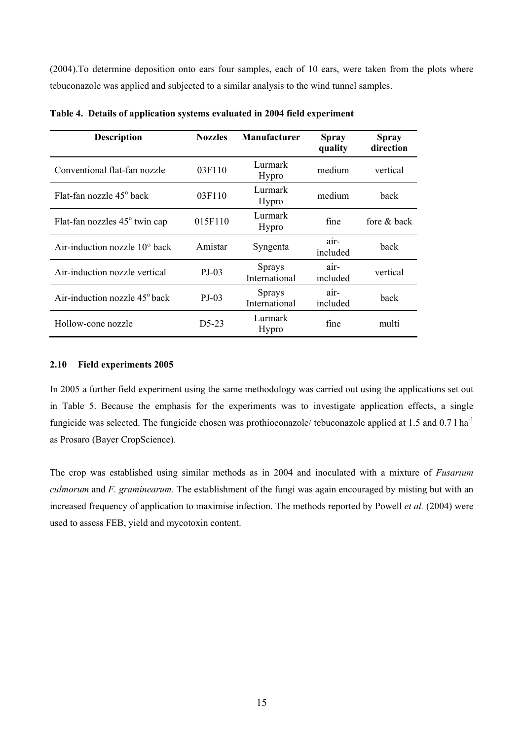(2004).To determine deposition onto ears four samples, each of 10 ears, were taken from the plots where tebuconazole was applied and subjected to a similar analysis to the wind tunnel samples.

| <b>Description</b>                     | <b>Nozzles</b> | <b>Manufacturer</b>            | <b>Spray</b><br>quality | <b>Spray</b><br>direction |
|----------------------------------------|----------------|--------------------------------|-------------------------|---------------------------|
| Conventional flat-fan nozzle           | 03F110         | Lurmark<br><b>Hypro</b>        | medium                  | vertical                  |
| Flat-fan nozzle 45 <sup>°</sup> back   | 03F110         | Lurmark<br>Hypro               | medium                  | back                      |
| Flat-fan nozzles 45° twin cap          | 015F110        | Lurmark<br><b>Hypro</b>        | fine                    | fore & back               |
| Air-induction nozzle $10^{\circ}$ back | Amistar        | Syngenta                       | air-<br>included        | back                      |
| Air-induction nozzle vertical          | $P_{J-0}$ 3    | <b>Sprays</b><br>International | air-<br>included        | vertical                  |
| Air-induction nozzle $45^{\circ}$ back | $PJ-03$        | <b>Sprays</b><br>International | $air-$<br>included      | back                      |
| Hollow-cone nozzle                     | $D5-23$        | Lurmark<br><b>Hypro</b>        | fine                    | multi                     |

**Table 4. Details of application systems evaluated in 2004 field experiment**

## **2.10 Field experiments 2005**

In 2005 a further field experiment using the same methodology was carried out using the applications set out in Table 5. Because the emphasis for the experiments was to investigate application effects, a single fungicide was selected. The fungicide chosen was prothioconazole/ tebuconazole applied at 1.5 and 0.7 l ha<sup>-1</sup> as Prosaro (Bayer CropScience).

The crop was established using similar methods as in 2004 and inoculated with a mixture of *Fusarium culmorum* and *F. graminearum*. The establishment of the fungi was again encouraged by misting but with an increased frequency of application to maximise infection. The methods reported by Powell *et al.* (2004) were used to assess FEB, yield and mycotoxin content.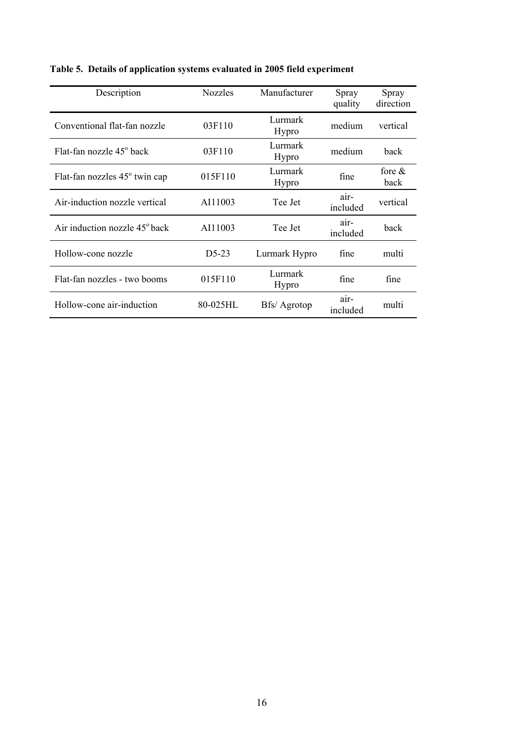| Description                               | <b>Nozzles</b> | Manufacturer     | Spray<br>quality | Spray<br>direction |
|-------------------------------------------|----------------|------------------|------------------|--------------------|
| Conventional flat-fan nozzle              | 03F110         | Lurmark<br>Hypro | medium           | vertical           |
| Flat-fan nozzle 45 <sup>°</sup> back      | 03F110         | Lurmark<br>Hypro | medium           | back               |
| Flat-fan nozzles 45° twin cap             | 015F110        | Lurmark<br>Hypro | fine             | fore $\&$<br>back  |
| Air-induction nozzle vertical             | AI11003        | Tee Jet          | air-<br>included | vertical           |
| Air induction nozzle 45 <sup>°</sup> back | AI11003        | Tee Jet          | air-<br>included | back               |
| Hollow-cone nozzle                        | D5-23          | Lurmark Hypro    | fine             | multi              |
| Flat-fan nozzles - two booms              | 015F110        | Lurmark<br>Hypro | fine             | fine               |
| Hollow-cone air-induction                 | 80-025HL       | Bfs/ Agrotop     | air-<br>included | multi              |

**Table 5. Details of application systems evaluated in 2005 field experiment**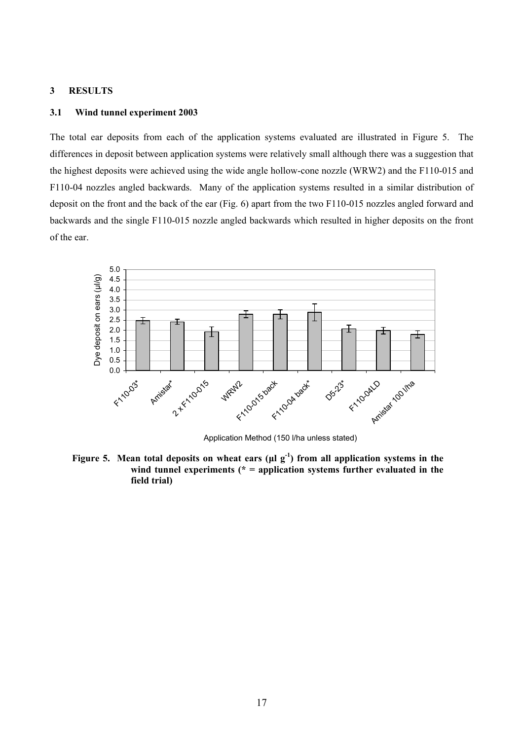#### **3 RESULTS**

#### **3.1 Wind tunnel experiment 2003**

The total ear deposits from each of the application systems evaluated are illustrated in Figure 5. The differences in deposit between application systems were relatively small although there was a suggestion that the highest deposits were achieved using the wide angle hollow-cone nozzle (WRW2) and the F110-015 and F110-04 nozzles angled backwards. Many of the application systems resulted in a similar distribution of deposit on the front and the back of the ear (Fig. 6) apart from the two F110-015 nozzles angled forward and backwards and the single F110-015 nozzle angled backwards which resulted in higher deposits on the front of the ear.



Application Method (150 l/ha unless stated)

Figure 5. Mean total deposits on wheat ears ( $\mu$ l g<sup>-1</sup>) from all application systems in the wind tunnel experiments (\* = application systems further evaluated in the **field trial)**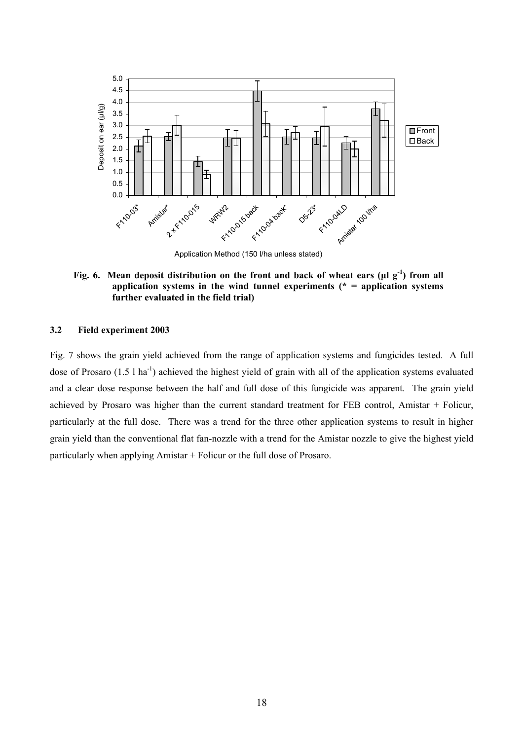

Fig. 6. Mean deposit distribution on the front and back of wheat ears ( $\mu$ l g<sup>-1</sup>) from all **application systems in the wind tunnel experiments (\* = application systems further evaluated in the field trial)** 

#### **3.2 Field experiment 2003**

Fig. 7 shows the grain yield achieved from the range of application systems and fungicides tested. A full dose of Prosaro (1.5 l ha<sup>-1</sup>) achieved the highest yield of grain with all of the application systems evaluated and a clear dose response between the half and full dose of this fungicide was apparent. The grain yield achieved by Prosaro was higher than the current standard treatment for FEB control, Amistar + Folicur, particularly at the full dose. There was a trend for the three other application systems to result in higher grain yield than the conventional flat fan-nozzle with a trend for the Amistar nozzle to give the highest yield particularly when applying Amistar + Folicur or the full dose of Prosaro.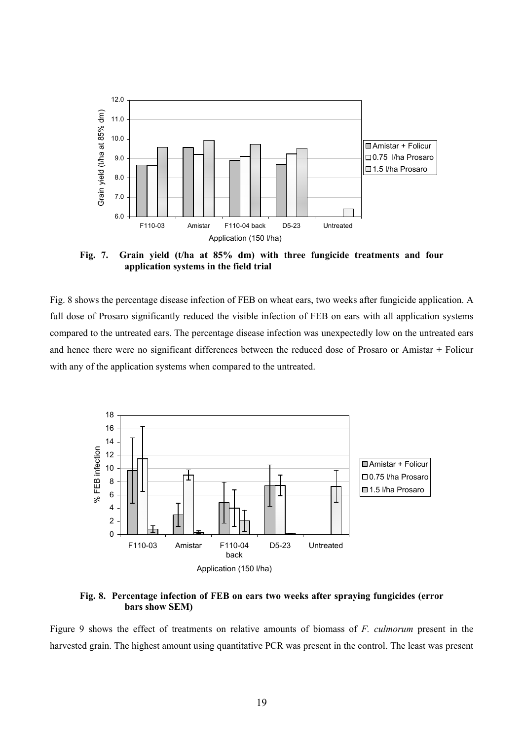

**Fig. 7. Grain yield (t/ha at 85% dm) with three fungicide treatments and four application systems in the field trial** 

Fig. 8 shows the percentage disease infection of FEB on wheat ears, two weeks after fungicide application. A full dose of Prosaro significantly reduced the visible infection of FEB on ears with all application systems compared to the untreated ears. The percentage disease infection was unexpectedly low on the untreated ears and hence there were no significant differences between the reduced dose of Prosaro or Amistar + Folicur with any of the application systems when compared to the untreated.



**Fig. 8. Percentage infection of FEB on ears two weeks after spraying fungicides (error bars show SEM)** 

Figure 9 shows the effect of treatments on relative amounts of biomass of *F. culmorum* present in the harvested grain. The highest amount using quantitative PCR was present in the control. The least was present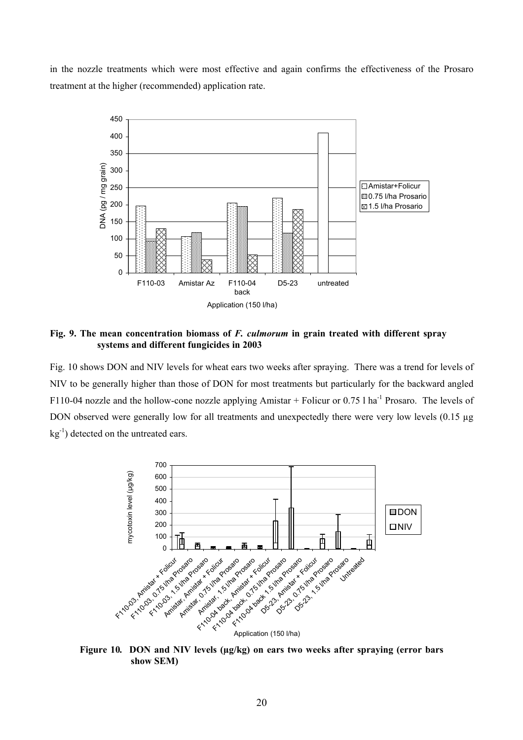in the nozzle treatments which were most effective and again confirms the effectiveness of the Prosaro treatment at the higher (recommended) application rate.



**Fig. 9. The mean concentration biomass of** *F. culmorum* **in grain treated with different spray systems and different fungicides in 2003** 

Fig. 10 shows DON and NIV levels for wheat ears two weeks after spraying. There was a trend for levels of NIV to be generally higher than those of DON for most treatments but particularly for the backward angled F110-04 nozzle and the hollow-cone nozzle applying Amistar + Folicur or  $0.75$  l ha<sup>-1</sup> Prosaro. The levels of DON observed were generally low for all treatments and unexpectedly there were very low levels (0.15 µg  $kg^{-1}$ ) detected on the untreated ears.



**Figure 10***.* **DON and NIV levels (µg/kg) on ears two weeks after spraying (error bars show SEM)**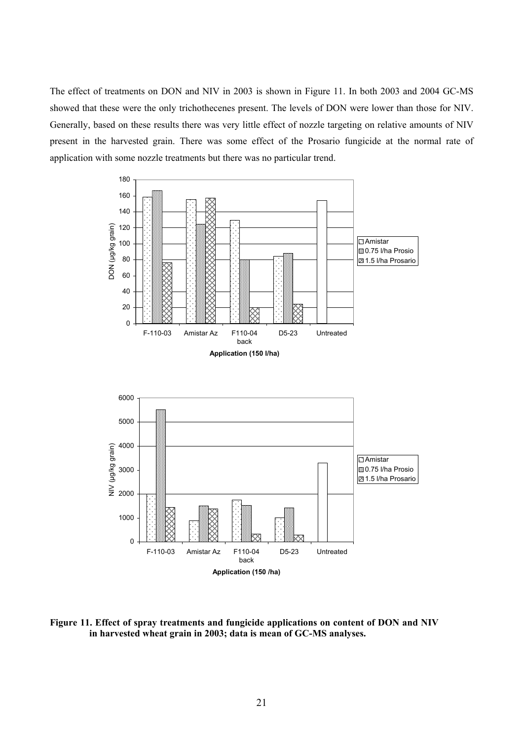The effect of treatments on DON and NIV in 2003 is shown in Figure 11. In both 2003 and 2004 GC-MS showed that these were the only trichothecenes present. The levels of DON were lower than those for NIV. Generally, based on these results there was very little effect of nozzle targeting on relative amounts of NIV present in the harvested grain. There was some effect of the Prosario fungicide at the normal rate of application with some nozzle treatments but there was no particular trend.



back **Application (150 /ha)**

**Figure 11. Effect of spray treatments and fungicide applications on content of DON and NIV in harvested wheat grain in 2003; data is mean of GC-MS analyses.**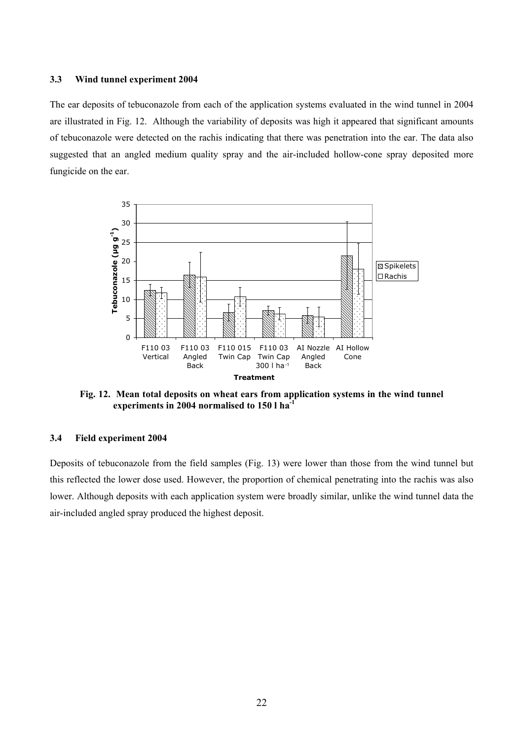#### **3.3 Wind tunnel experiment 2004**

The ear deposits of tebuconazole from each of the application systems evaluated in the wind tunnel in 2004 are illustrated in Fig. 12. Although the variability of deposits was high it appeared that significant amounts of tebuconazole were detected on the rachis indicating that there was penetration into the ear. The data also suggested that an angled medium quality spray and the air-included hollow-cone spray deposited more fungicide on the ear.



**Fig. 12. Mean total deposits on wheat ears from application systems in the wind tunnel experiments in 2004 normalised to 150 l ha-1**

# **3.4 Field experiment 2004**

Deposits of tebuconazole from the field samples (Fig. 13) were lower than those from the wind tunnel but this reflected the lower dose used. However, the proportion of chemical penetrating into the rachis was also lower. Although deposits with each application system were broadly similar, unlike the wind tunnel data the air-included angled spray produced the highest deposit.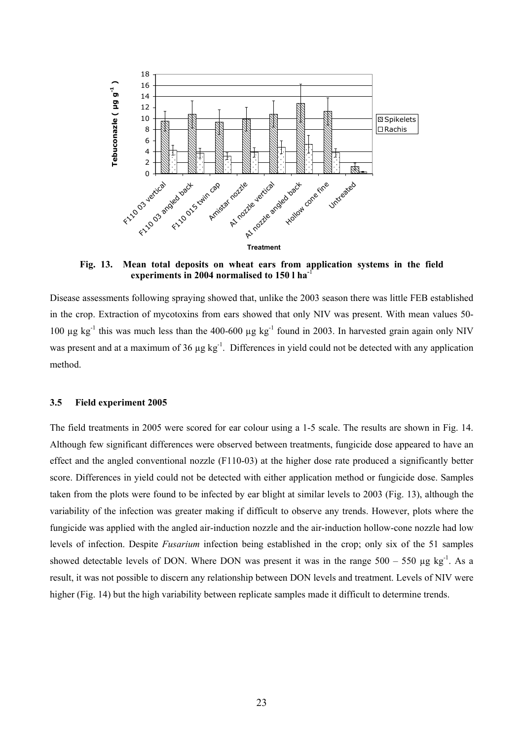

 **Fig. 13. Mean total deposits on wheat ears from application systems in the field**  experiments in 2004 normalised to 150 l ha<sup>-1</sup>

Disease assessments following spraying showed that, unlike the 2003 season there was little FEB established in the crop. Extraction of mycotoxins from ears showed that only NIV was present. With mean values 50- 100  $\mu$ g kg<sup>-1</sup> this was much less than the 400-600  $\mu$ g kg<sup>-1</sup> found in 2003. In harvested grain again only NIV was present and at a maximum of 36 µg kg<sup>-1</sup>. Differences in yield could not be detected with any application method.

#### **3.5 Field experiment 2005**

The field treatments in 2005 were scored for ear colour using a 1-5 scale. The results are shown in Fig. 14. Although few significant differences were observed between treatments, fungicide dose appeared to have an effect and the angled conventional nozzle (F110-03) at the higher dose rate produced a significantly better score. Differences in yield could not be detected with either application method or fungicide dose. Samples taken from the plots were found to be infected by ear blight at similar levels to 2003 (Fig. 13), although the variability of the infection was greater making if difficult to observe any trends. However, plots where the fungicide was applied with the angled air-induction nozzle and the air-induction hollow-cone nozzle had low levels of infection. Despite *Fusarium* infection being established in the crop; only six of the 51 samples showed detectable levels of DON. Where DON was present it was in the range  $500 - 550 \mu g kg^{-1}$ . As a result, it was not possible to discern any relationship between DON levels and treatment. Levels of NIV were higher (Fig. 14) but the high variability between replicate samples made it difficult to determine trends.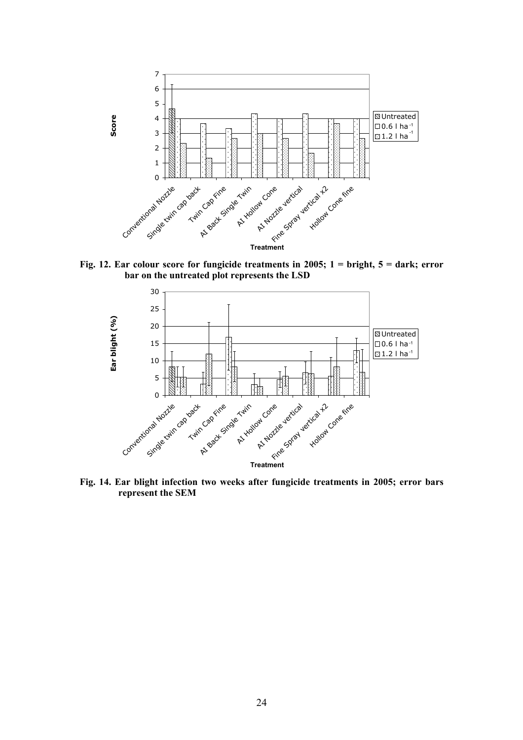

**Fig. 12. Ear colour score for fungicide treatments in 2005; 1 = bright, 5 = dark; error bar on the untreated plot represents the LSD** 



**Fig. 14. Ear blight infection two weeks after fungicide treatments in 2005; error bars represent the SEM**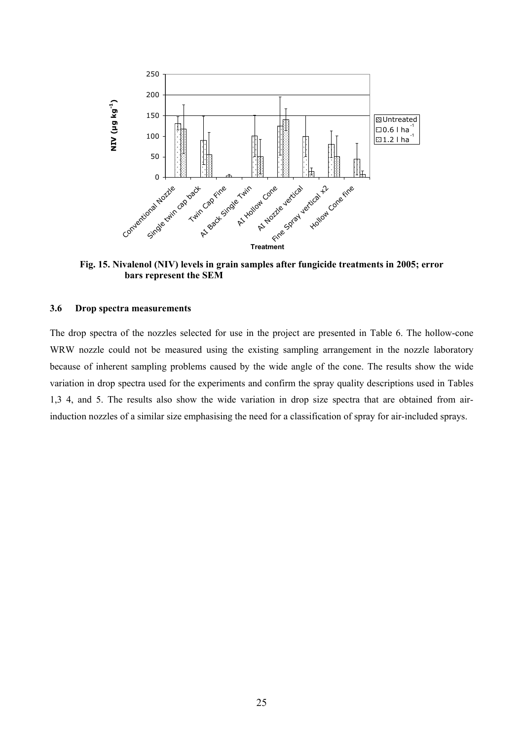

**Fig. 15. Nivalenol (NIV) levels in grain samples after fungicide treatments in 2005; error bars represent the SEM** 

#### **3.6 Drop spectra measurements**

The drop spectra of the nozzles selected for use in the project are presented in Table 6. The hollow-cone WRW nozzle could not be measured using the existing sampling arrangement in the nozzle laboratory because of inherent sampling problems caused by the wide angle of the cone. The results show the wide variation in drop spectra used for the experiments and confirm the spray quality descriptions used in Tables 1,3 4, and 5. The results also show the wide variation in drop size spectra that are obtained from airinduction nozzles of a similar size emphasising the need for a classification of spray for air-included sprays.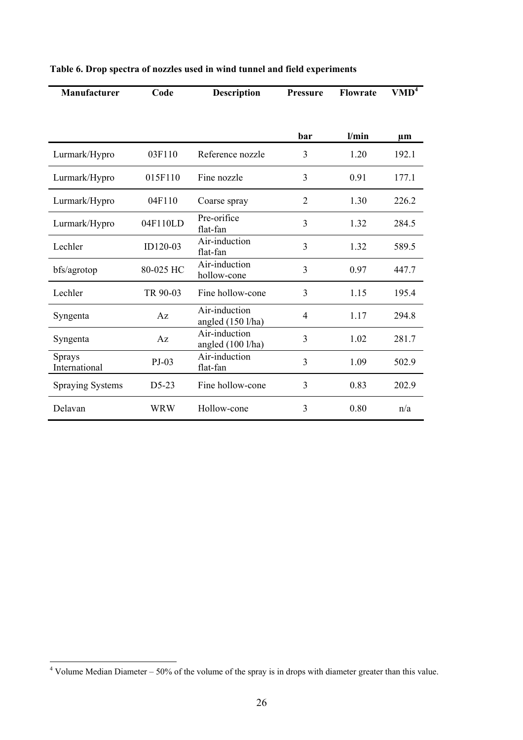| Manufacturer            | Code       | <b>Description</b>                 | <b>Pressure</b> | <b>Flowrate</b> | VMD <sup>4</sup> |
|-------------------------|------------|------------------------------------|-----------------|-----------------|------------------|
|                         |            |                                    | bar             | l/min           | $\mu$ m          |
|                         |            |                                    |                 |                 |                  |
| Lurmark/Hypro           | 03F110     | Reference nozzle                   | 3               | 1.20            | 192.1            |
| Lurmark/Hypro           | 015F110    | Fine nozzle                        | 3               | 0.91            | 177.1            |
| Lurmark/Hypro           | 04F110     | Coarse spray                       | 2               | 1.30            | 226.2            |
| Lurmark/Hypro           | 04F110LD   | Pre-orifice<br>flat-fan            | 3               | 1.32            | 284.5            |
| Lechler                 | ID120-03   | Air-induction<br>flat-fan          | 3               | 1.32            | 589.5            |
| bfs/agrotop             | 80-025 HC  | Air-induction<br>hollow-cone       | 3               | 0.97            | 447.7            |
| Lechler                 | TR 90-03   | Fine hollow-cone                   | 3               | 1.15            | 195.4            |
| Syngenta                | Az         | Air-induction<br>angled (150 l/ha) | $\overline{4}$  | 1.17            | 294.8            |
| Syngenta                | Az         | Air-induction<br>angled (100 l/ha) | 3               | 1.02            | 281.7            |
| Sprays<br>International | $PJ-03$    | Air-induction<br>flat-fan          | 3               | 1.09            | 502.9            |
| <b>Spraying Systems</b> | $D5-23$    | Fine hollow-cone                   | 3               | 0.83            | 202.9            |
| Delavan                 | <b>WRW</b> | Hollow-cone                        | 3               | 0.80            | n/a              |

# **Table 6. Drop spectra of nozzles used in wind tunnel and field experiments**

 4 Volume Median Diameter – 50% of the volume of the spray is in drops with diameter greater than this value.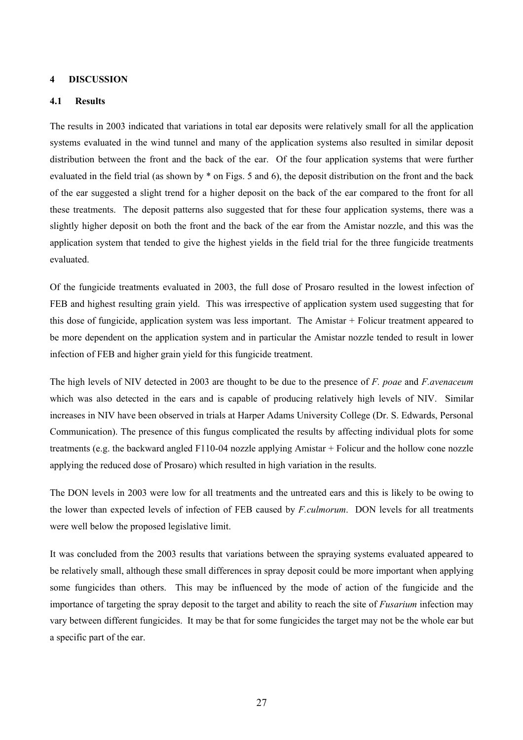#### **4 DISCUSSION**

#### **4.1 Results**

The results in 2003 indicated that variations in total ear deposits were relatively small for all the application systems evaluated in the wind tunnel and many of the application systems also resulted in similar deposit distribution between the front and the back of the ear. Of the four application systems that were further evaluated in the field trial (as shown by \* on Figs. 5 and 6), the deposit distribution on the front and the back of the ear suggested a slight trend for a higher deposit on the back of the ear compared to the front for all these treatments. The deposit patterns also suggested that for these four application systems, there was a slightly higher deposit on both the front and the back of the ear from the Amistar nozzle, and this was the application system that tended to give the highest yields in the field trial for the three fungicide treatments evaluated.

Of the fungicide treatments evaluated in 2003, the full dose of Prosaro resulted in the lowest infection of FEB and highest resulting grain yield. This was irrespective of application system used suggesting that for this dose of fungicide, application system was less important. The Amistar + Folicur treatment appeared to be more dependent on the application system and in particular the Amistar nozzle tended to result in lower infection of FEB and higher grain yield for this fungicide treatment.

The high levels of NIV detected in 2003 are thought to be due to the presence of *F. poae* and *F.avenaceum*  which was also detected in the ears and is capable of producing relatively high levels of NIV. Similar increases in NIV have been observed in trials at Harper Adams University College (Dr. S. Edwards, Personal Communication). The presence of this fungus complicated the results by affecting individual plots for some treatments (e.g. the backward angled F110-04 nozzle applying Amistar + Folicur and the hollow cone nozzle applying the reduced dose of Prosaro) which resulted in high variation in the results.

The DON levels in 2003 were low for all treatments and the untreated ears and this is likely to be owing to the lower than expected levels of infection of FEB caused by *F.culmorum*. DON levels for all treatments were well below the proposed legislative limit.

It was concluded from the 2003 results that variations between the spraying systems evaluated appeared to be relatively small, although these small differences in spray deposit could be more important when applying some fungicides than others. This may be influenced by the mode of action of the fungicide and the importance of targeting the spray deposit to the target and ability to reach the site of *Fusarium* infection may vary between different fungicides. It may be that for some fungicides the target may not be the whole ear but a specific part of the ear.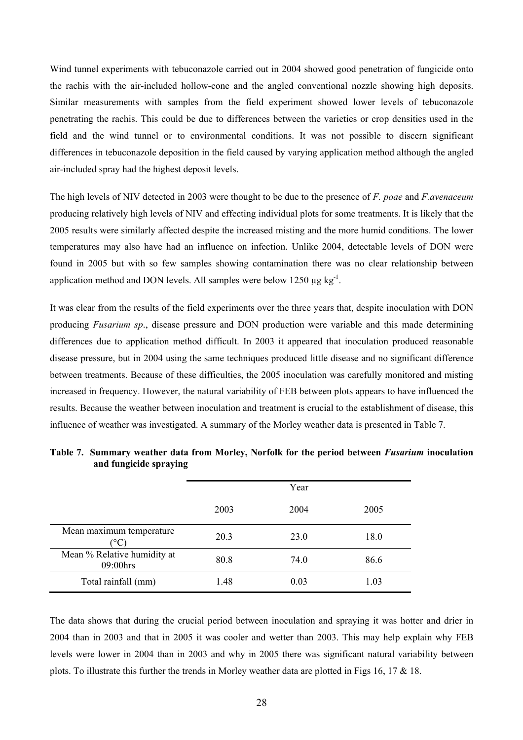Wind tunnel experiments with tebuconazole carried out in 2004 showed good penetration of fungicide onto the rachis with the air-included hollow-cone and the angled conventional nozzle showing high deposits. Similar measurements with samples from the field experiment showed lower levels of tebuconazole penetrating the rachis. This could be due to differences between the varieties or crop densities used in the field and the wind tunnel or to environmental conditions. It was not possible to discern significant differences in tebuconazole deposition in the field caused by varying application method although the angled air-included spray had the highest deposit levels.

The high levels of NIV detected in 2003 were thought to be due to the presence of *F. poae* and *F.avenaceum*  producing relatively high levels of NIV and effecting individual plots for some treatments. It is likely that the 2005 results were similarly affected despite the increased misting and the more humid conditions. The lower temperatures may also have had an influence on infection. Unlike 2004, detectable levels of DON were found in 2005 but with so few samples showing contamination there was no clear relationship between application method and DON levels. All samples were below 1250  $\mu$ g kg<sup>-1</sup>.

It was clear from the results of the field experiments over the three years that, despite inoculation with DON producing *Fusarium sp*., disease pressure and DON production were variable and this made determining differences due to application method difficult. In 2003 it appeared that inoculation produced reasonable disease pressure, but in 2004 using the same techniques produced little disease and no significant difference between treatments. Because of these difficulties, the 2005 inoculation was carefully monitored and misting increased in frequency. However, the natural variability of FEB between plots appears to have influenced the results. Because the weather between inoculation and treatment is crucial to the establishment of disease, this influence of weather was investigated. A summary of the Morley weather data is presented in Table 7.

|                                                  |      | Year |      |
|--------------------------------------------------|------|------|------|
|                                                  | 2003 | 2004 | 2005 |
| Mean maximum temperature<br>$^{\circ}\mathrm{C}$ | 20.3 | 23.0 | 18.0 |
| Mean % Relative humidity at<br>09:00hrs          | 80.8 | 74.0 | 86.6 |
| Total rainfall (mm)                              | 1.48 | 0.03 | 1.03 |

**Table 7. Summary weather data from Morley, Norfolk for the period between** *Fusarium* **inoculation and fungicide spraying** 

The data shows that during the crucial period between inoculation and spraying it was hotter and drier in 2004 than in 2003 and that in 2005 it was cooler and wetter than 2003. This may help explain why FEB levels were lower in 2004 than in 2003 and why in 2005 there was significant natural variability between plots. To illustrate this further the trends in Morley weather data are plotted in Figs 16, 17 & 18.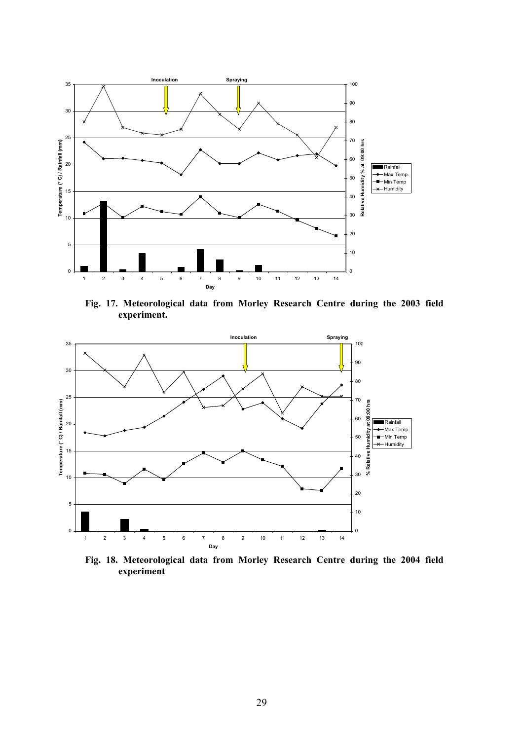

**Fig. 17. Meteorological data from Morley Research Centre during the 2003 field experiment.** 



**Fig. 18. Meteorological data from Morley Research Centre during the 2004 field experiment**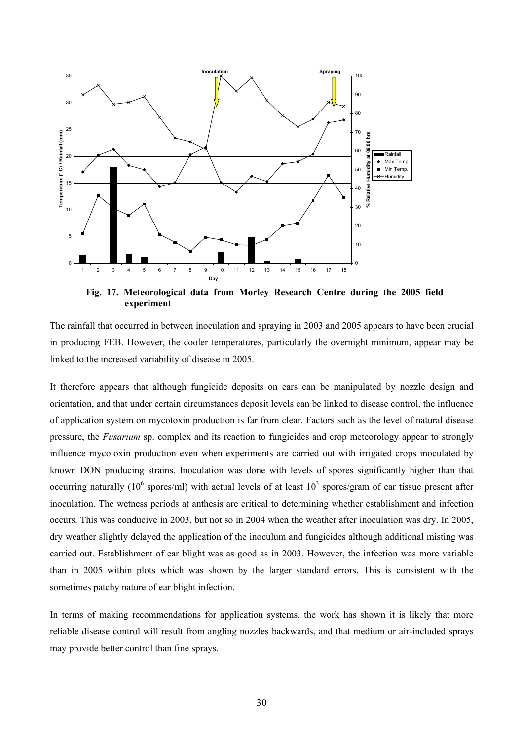

**Fig. 17. Meteorological data from Morley Research Centre during the 2005 field experiment** 

The rainfall that occurred in between inoculation and spraying in 2003 and 2005 appears to have been crucial in producing FEB. However, the cooler temperatures, particularly the overnight minimum, appear may be linked to the increased variability of disease in 2005.

It therefore appears that although fungicide deposits on ears can be manipulated by nozzle design and orientation, and that under certain circumstances deposit levels can be linked to disease control, the influence of application system on mycotoxin production is far from clear. Factors such as the level of natural disease pressure, the *Fusarium* sp. complex and its reaction to fungicides and crop meteorology appear to strongly influence mycotoxin production even when experiments are carried out with irrigated crops inoculated by known DON producing strains. Inoculation was done with levels of spores significantly higher than that occurring naturally (10<sup>6</sup> spores/ml) with actual levels of at least  $10^3$  spores/gram of ear tissue present after inoculation. The wetness periods at anthesis are critical to determining whether establishment and infection occurs. This was conducive in 2003, but not so in 2004 when the weather after inoculation was dry. In 2005, dry weather slightly delayed the application of the inoculum and fungicides although additional misting was carried out. Establishment of ear blight was as good as in 2003. However, the infection was more variable than in 2005 within plots which was shown by the larger standard errors. This is consistent with the sometimes patchy nature of ear blight infection.

In terms of making recommendations for application systems, the work has shown it is likely that more reliable disease control will result from angling nozzles backwards, and that medium or air-included sprays may provide better control than fine sprays.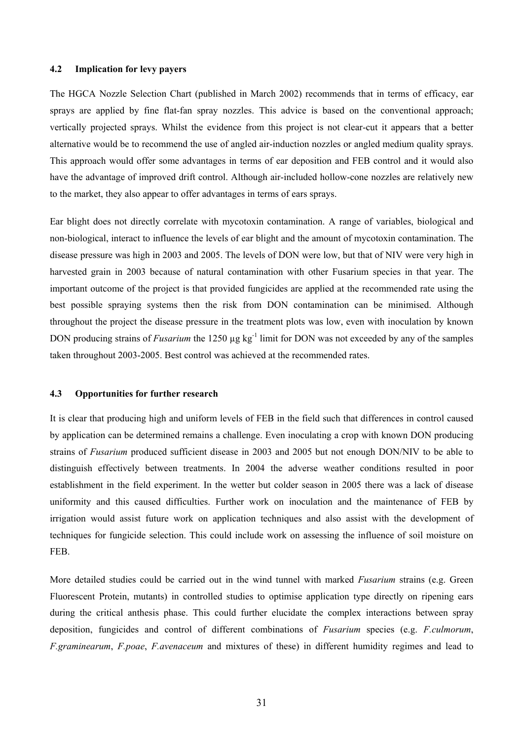#### **4.2 Implication for levy payers**

The HGCA Nozzle Selection Chart (published in March 2002) recommends that in terms of efficacy, ear sprays are applied by fine flat-fan spray nozzles. This advice is based on the conventional approach; vertically projected sprays. Whilst the evidence from this project is not clear-cut it appears that a better alternative would be to recommend the use of angled air-induction nozzles or angled medium quality sprays. This approach would offer some advantages in terms of ear deposition and FEB control and it would also have the advantage of improved drift control. Although air-included hollow-cone nozzles are relatively new to the market, they also appear to offer advantages in terms of ears sprays.

Ear blight does not directly correlate with mycotoxin contamination. A range of variables, biological and non-biological, interact to influence the levels of ear blight and the amount of mycotoxin contamination. The disease pressure was high in 2003 and 2005. The levels of DON were low, but that of NIV were very high in harvested grain in 2003 because of natural contamination with other Fusarium species in that year. The important outcome of the project is that provided fungicides are applied at the recommended rate using the best possible spraying systems then the risk from DON contamination can be minimised. Although throughout the project the disease pressure in the treatment plots was low, even with inoculation by known DON producing strains of *Fusarium* the 1250 µg kg<sup>-1</sup> limit for DON was not exceeded by any of the samples taken throughout 2003-2005. Best control was achieved at the recommended rates.

# **4.3 Opportunities for further research**

It is clear that producing high and uniform levels of FEB in the field such that differences in control caused by application can be determined remains a challenge. Even inoculating a crop with known DON producing strains of *Fusarium* produced sufficient disease in 2003 and 2005 but not enough DON/NIV to be able to distinguish effectively between treatments. In 2004 the adverse weather conditions resulted in poor establishment in the field experiment. In the wetter but colder season in 2005 there was a lack of disease uniformity and this caused difficulties. Further work on inoculation and the maintenance of FEB by irrigation would assist future work on application techniques and also assist with the development of techniques for fungicide selection. This could include work on assessing the influence of soil moisture on FEB.

More detailed studies could be carried out in the wind tunnel with marked *Fusarium* strains (e.g. Green Fluorescent Protein, mutants) in controlled studies to optimise application type directly on ripening ears during the critical anthesis phase. This could further elucidate the complex interactions between spray deposition, fungicides and control of different combinations of *Fusarium* species (e.g. *F.culmorum*, *F.graminearum*, *F.poae*, *F.avenaceum* and mixtures of these) in different humidity regimes and lead to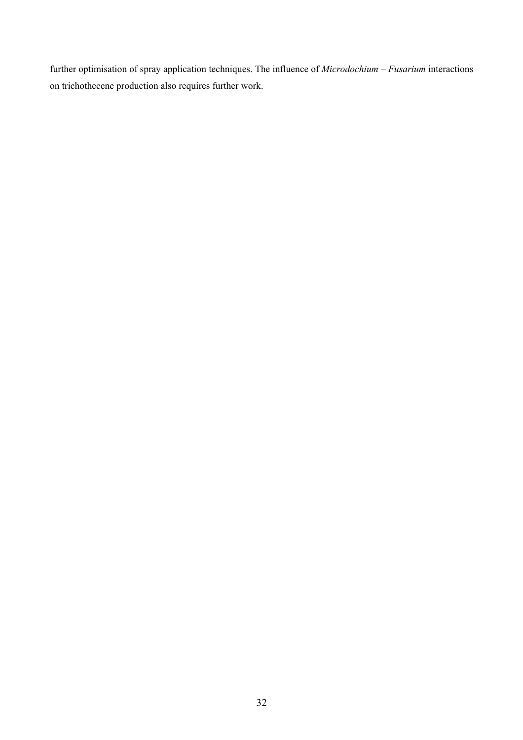further optimisation of spray application techniques. The influence of *Microdochium – Fusarium* interactions on trichothecene production also requires further work.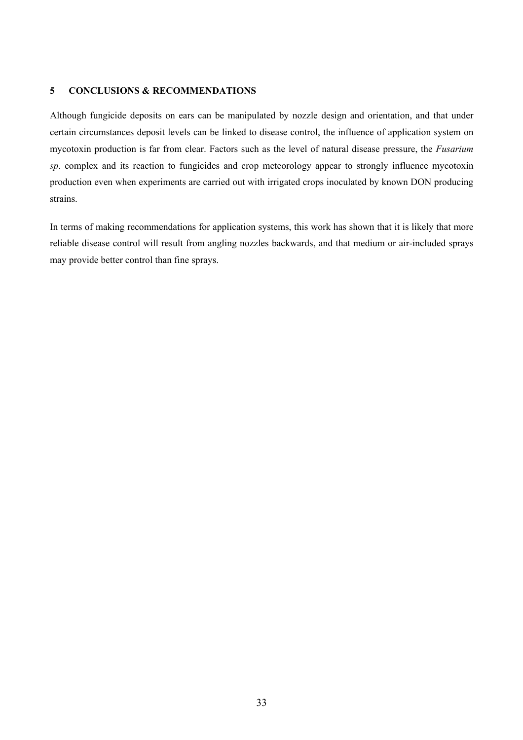## **5 CONCLUSIONS & RECOMMENDATIONS**

Although fungicide deposits on ears can be manipulated by nozzle design and orientation, and that under certain circumstances deposit levels can be linked to disease control, the influence of application system on mycotoxin production is far from clear. Factors such as the level of natural disease pressure, the *Fusarium sp*. complex and its reaction to fungicides and crop meteorology appear to strongly influence mycotoxin production even when experiments are carried out with irrigated crops inoculated by known DON producing strains.

In terms of making recommendations for application systems, this work has shown that it is likely that more reliable disease control will result from angling nozzles backwards, and that medium or air-included sprays may provide better control than fine sprays.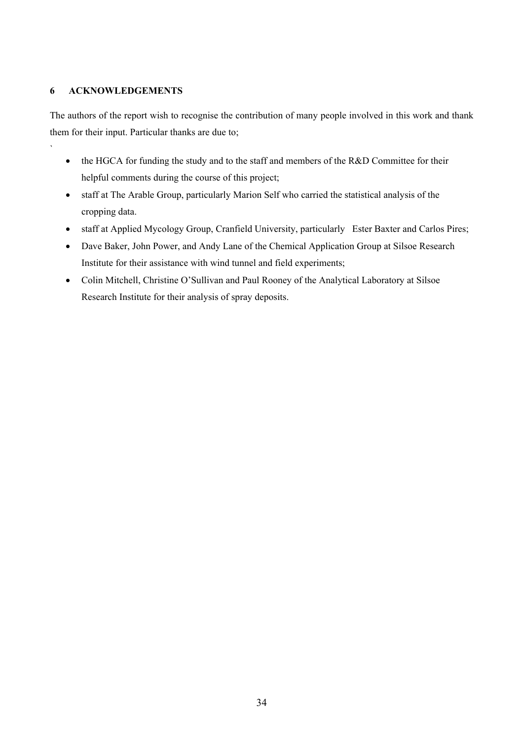# **6 ACKNOWLEDGEMENTS**

`

The authors of the report wish to recognise the contribution of many people involved in this work and thank them for their input. Particular thanks are due to;

- the HGCA for funding the study and to the staff and members of the R&D Committee for their helpful comments during the course of this project;
- staff at The Arable Group, particularly Marion Self who carried the statistical analysis of the cropping data.
- staff at Applied Mycology Group, Cranfield University, particularly Ester Baxter and Carlos Pires;
- Dave Baker, John Power, and Andy Lane of the Chemical Application Group at Silsoe Research Institute for their assistance with wind tunnel and field experiments;
- Colin Mitchell, Christine O'Sullivan and Paul Rooney of the Analytical Laboratory at Silsoe Research Institute for their analysis of spray deposits.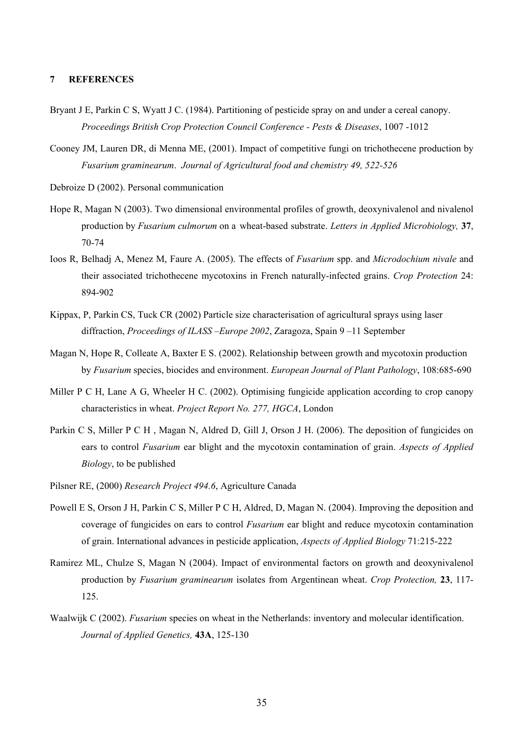#### **7 REFERENCES**

- Bryant J E, Parkin C S, Wyatt J C. (1984). Partitioning of pesticide spray on and under a cereal canopy. *Proceedings British Crop Protection Council Conference - Pests & Diseases*, 1007 -1012
- Cooney JM, Lauren DR, di Menna ME, (2001). Impact of competitive fungi on trichothecene production by *Fusarium graminearum*. *Journal of Agricultural food and chemistry 49, 522-526*
- Debroize D (2002). Personal communication
- Hope R, Magan N (2003). Two dimensional environmental profiles of growth, deoxynivalenol and nivalenol production by *Fusarium culmorum* on a wheat-based substrate. *Letters in Applied Microbiology,* **37**, 70-74
- Ioos R, Belhadj A, Menez M, Faure A. (2005). The effects of *Fusarium* spp. and *Microdochium nivale* and their associated trichothecene mycotoxins in French naturally-infected grains. *Crop Protection* 24: 894-902
- Kippax, P, Parkin CS, Tuck CR (2002) Particle size characterisation of agricultural sprays using laser diffraction, *Proceedings of ILASS –Europe 2002*, Zaragoza, Spain 9 –11 September
- Magan N, Hope R, Colleate A, Baxter E S. (2002). Relationship between growth and mycotoxin production by *Fusarium* species, biocides and environment. *European Journal of Plant Pathology*, 108:685-690
- Miller P C H, Lane A G, Wheeler H C, (2002). Optimising fungicide application according to crop canopy characteristics in wheat. *Project Report No. 277, HGCA*, London
- Parkin C S, Miller P C H , Magan N, Aldred D, Gill J, Orson J H. (2006). The deposition of fungicides on ears to control *Fusarium* ear blight and the mycotoxin contamination of grain. *Aspects of Applied Biology*, to be published
- Pilsner RE, (2000) *Research Project 494.6*, Agriculture Canada
- Powell E S, Orson J H, Parkin C S, Miller P C H, Aldred, D, Magan N. (2004). Improving the deposition and coverage of fungicides on ears to control *Fusarium* ear blight and reduce mycotoxin contamination of grain. International advances in pesticide application, *Aspects of Applied Biology* 71:215-222
- Ramirez ML, Chulze S, Magan N (2004). Impact of environmental factors on growth and deoxynivalenol production by *Fusarium graminearum* isolates from Argentinean wheat. *Crop Protection,* **23**, 117- 125.
- Waalwijk C (2002). *Fusarium* species on wheat in the Netherlands: inventory and molecular identification. *Journal of Applied Genetics,* **43A**, 125-130